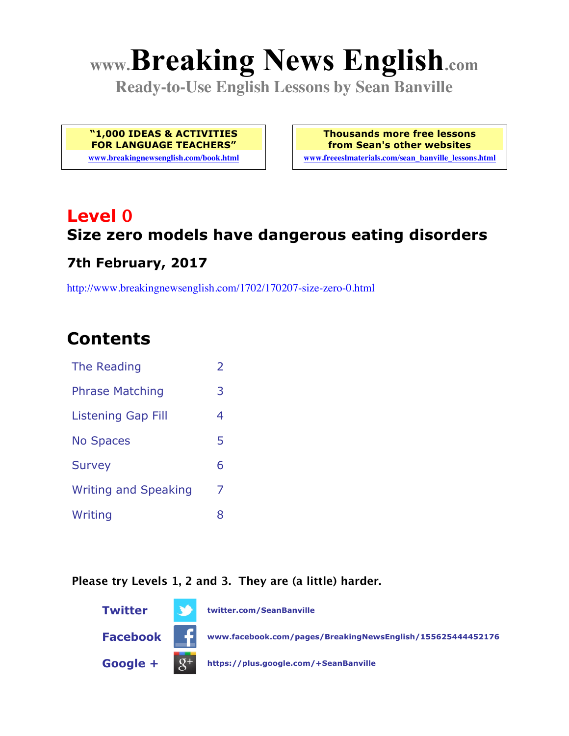# **www.Breaking News English.com**

**Ready-to-Use English Lessons by Sean Banville**

**"1,000 IDEAS & ACTIVITIES FOR LANGUAGE TEACHERS"**

**www.breakingnewsenglish.com/book.html**

**Thousands more free lessons from Sean's other websites www.freeeslmaterials.com/sean\_banville\_lessons.html**

## **Level 0 Size zero models have dangerous eating disorders**

#### **7th February, 2017**

http://www.breakingnewsenglish.com/1702/170207-size-zero-0.html

### **Contents**

| The Reading                 | $\overline{2}$ |
|-----------------------------|----------------|
| <b>Phrase Matching</b>      | 3              |
| Listening Gap Fill          | 4              |
| <b>No Spaces</b>            | 5              |
| <b>Survey</b>               | 6              |
| <b>Writing and Speaking</b> | 7              |
| Writing                     | 8              |

#### **Please try Levels 1, 2 and 3. They are (a little) harder.**

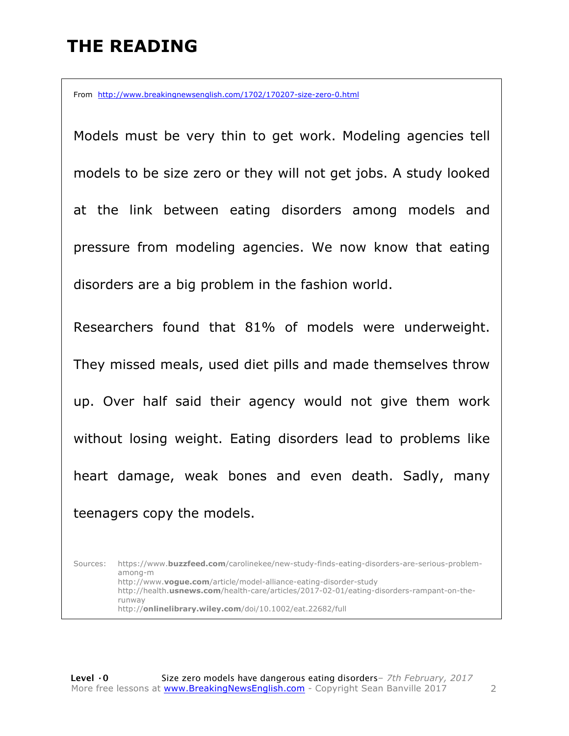### **THE READING**

From http://www.breakingnewsenglish.com/1702/170207-size-zero-0.html

Models must be very thin to get work. Modeling agencies tell models to be size zero or they will not get jobs. A study looked at the link between eating disorders among models and pressure from modeling agencies. We now know that eating disorders are a big problem in the fashion world.

Researchers found that 81% of models were underweight. They missed meals, used diet pills and made themselves throw up. Over half said their agency would not give them work without losing weight. Eating disorders lead to problems like heart damage, weak bones and even death. Sadly, many teenagers copy the models.

Sources: https://www.**buzzfeed.com**/carolinekee/new-study-finds-eating-disorders-are-serious-problemamong-m http://www.**vogue.com**/article/model-alliance-eating-disorder-study http://health.**usnews.com**/health-care/articles/2017-02-01/eating-disorders-rampant-on-therunway http://**onlinelibrary.wiley.com**/doi/10.1002/eat.22682/full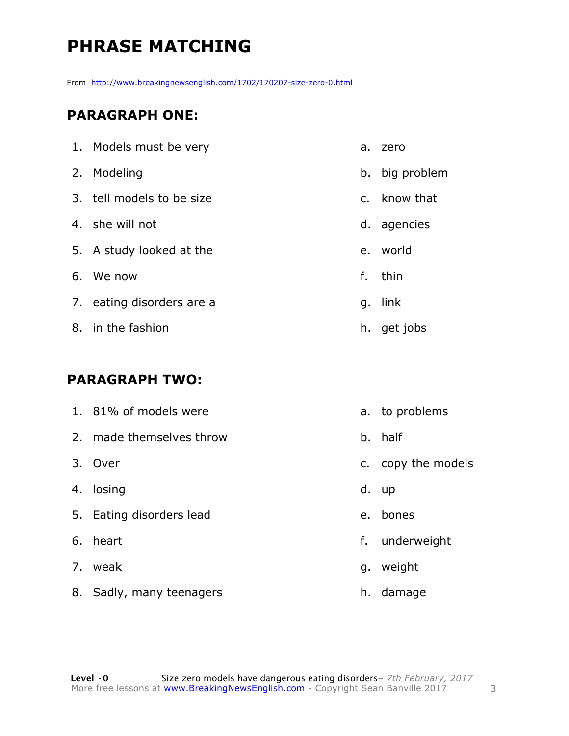### **PHRASE MATCHING**

From http://www.breakingnewsenglish.com/1702/170207-size-zero-0.html

#### **PARAGRAPH ONE:**

| 1. Models must be very    | a. | zero           |
|---------------------------|----|----------------|
| 2. Modeling               |    | b. big problem |
| 3. tell models to be size |    | c. know that   |
| 4. she will not           | d. | agencies       |
| 5. A study looked at the  |    | e. world       |
| 6. We now                 | f. | thin           |
| 7. eating disorders are a | q. | link           |
| 8. in the fashion         | h. | get jobs       |

#### **PARAGRAPH TWO:**

| 1. 81% of models were    |    | a. to problems     |
|--------------------------|----|--------------------|
| 2. made themselves throw |    | b. half            |
| 3. Over                  |    | c. copy the models |
| 4. losing                |    | d. up              |
| 5. Eating disorders lead |    | e. bones           |
| 6. heart                 | f. | underweight        |
| 7. weak                  | g. | weight             |
| 8. Sadly, many teenagers | h. | damage             |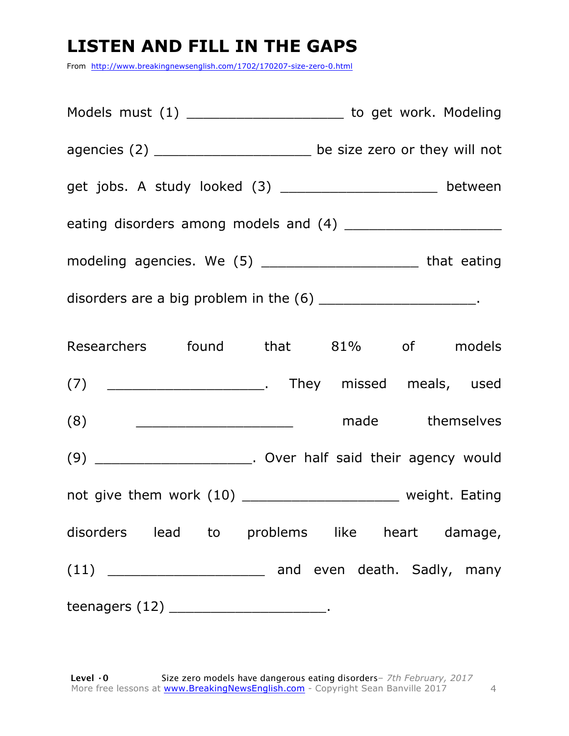### **LISTEN AND FILL IN THE GAPS**

From http://www.breakingnewsenglish.com/1702/170207-size-zero-0.html

| Models must (1) _________________________ to get work. Modeling     |  |  |  |
|---------------------------------------------------------------------|--|--|--|
| agencies (2) _______________________ be size zero or they will not  |  |  |  |
| get jobs. A study looked (3) _____________________ between          |  |  |  |
|                                                                     |  |  |  |
| modeling agencies. We (5) ____________________________ that eating  |  |  |  |
| disorders are a big problem in the $(6)$ _________________________. |  |  |  |
| Researchers found that 81% of models                                |  |  |  |
|                                                                     |  |  |  |
| contract themselves and themselves<br>(8)                           |  |  |  |
| (9) ________________________. Over half said their agency would     |  |  |  |
| not give them work (10) _______________________ weight. Eating      |  |  |  |
| disorders lead to problems like heart damage,                       |  |  |  |
|                                                                     |  |  |  |
| teenagers $(12)$ __________________________.                        |  |  |  |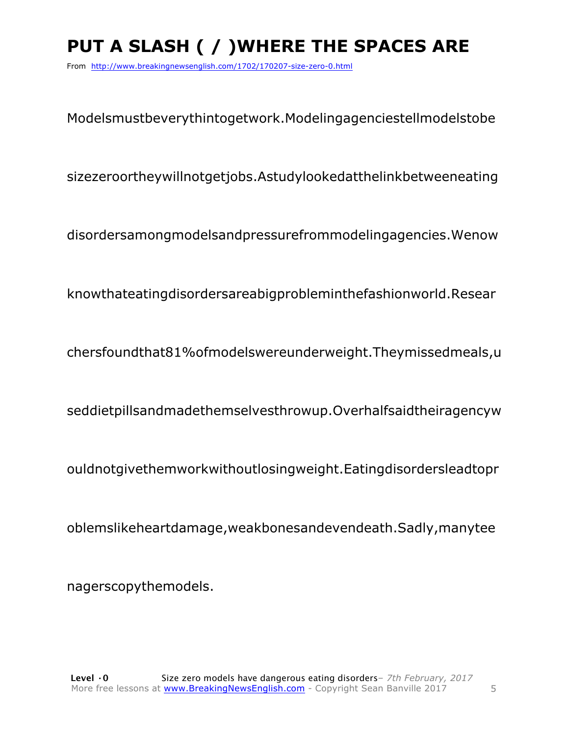### **PUT A SLASH ( / )WHERE THE SPACES ARE**

From http://www.breakingnewsenglish.com/1702/170207-size-zero-0.html

Modelsmustbeverythintogetwork.Modelingagenciestellmodelstobe

sizezeroortheywillnotgetjobs.Astudylookedatthelinkbetweeneating

disordersamongmodelsandpressurefrommodelingagencies.Wenow

knowthateatingdisordersareabigprobleminthefashionworld.Resear

chersfoundthat81%ofmodelswereunderweight.Theymissedmeals,u

seddietpillsandmadethemselvesthrowup.Overhalfsaidtheiragencyw

ouldnotgivethemworkwithoutlosingweight.Eatingdisordersleadtopr

oblemslikeheartdamage,weakbonesandevendeath.Sadly,manytee

nagerscopythemodels.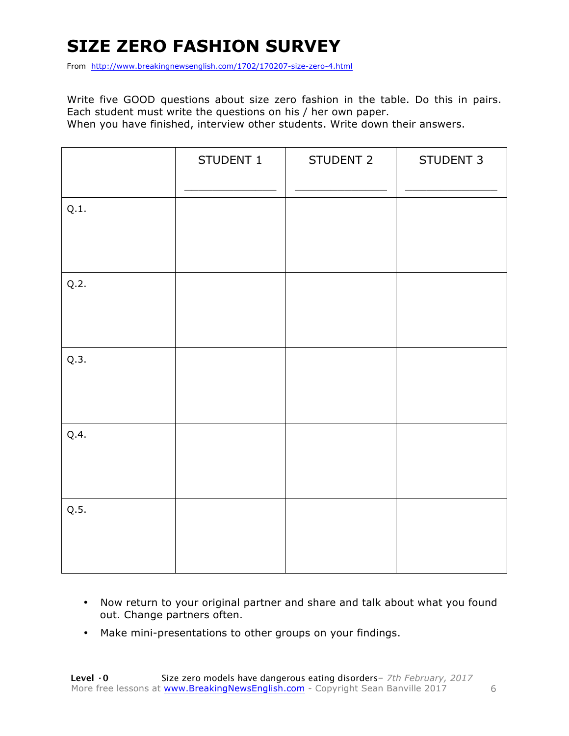### **SIZE ZERO FASHION SURVEY**

From http://www.breakingnewsenglish.com/1702/170207-size-zero-4.html

Write five GOOD questions about size zero fashion in the table. Do this in pairs. Each student must write the questions on his / her own paper. When you have finished, interview other students. Write down their answers.

|      | STUDENT 1 | STUDENT 2 | STUDENT 3 |
|------|-----------|-----------|-----------|
| Q.1. |           |           |           |
| Q.2. |           |           |           |
| Q.3. |           |           |           |
| Q.4. |           |           |           |
| Q.5. |           |           |           |

- Now return to your original partner and share and talk about what you found out. Change partners often.
- Make mini-presentations to other groups on your findings.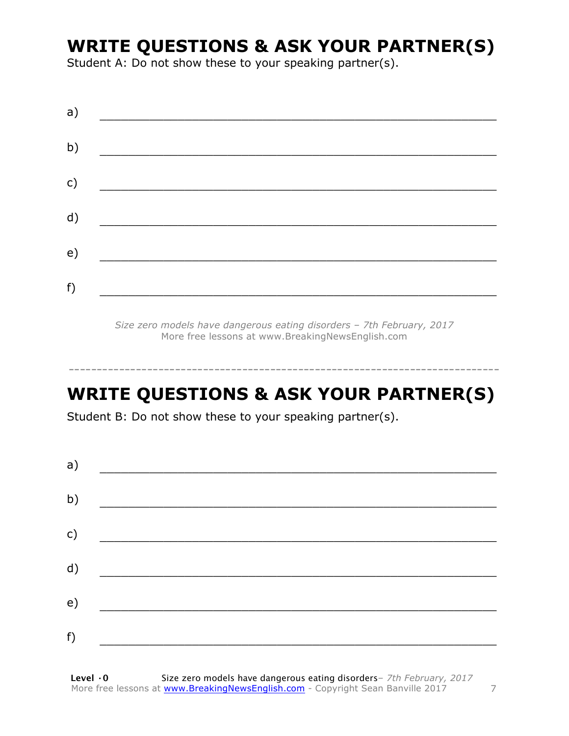### **WRITE QUESTIONS & ASK YOUR PARTNER(S)**

Student A: Do not show these to your speaking partner(s).

| a) |  |  |
|----|--|--|
| b) |  |  |
| c) |  |  |
| d) |  |  |
| e) |  |  |
| f) |  |  |
|    |  |  |

*Size zero models have dangerous eating disorders – 7th February, 2017* More free lessons at www.BreakingNewsEnglish.com

### **WRITE QUESTIONS & ASK YOUR PARTNER(S)**

-----------------------------------------------------------------------------

Student B: Do not show these to your speaking partner(s).

| a) |  |
|----|--|
| b) |  |
| c) |  |
| d) |  |
| e) |  |
| f) |  |
|    |  |